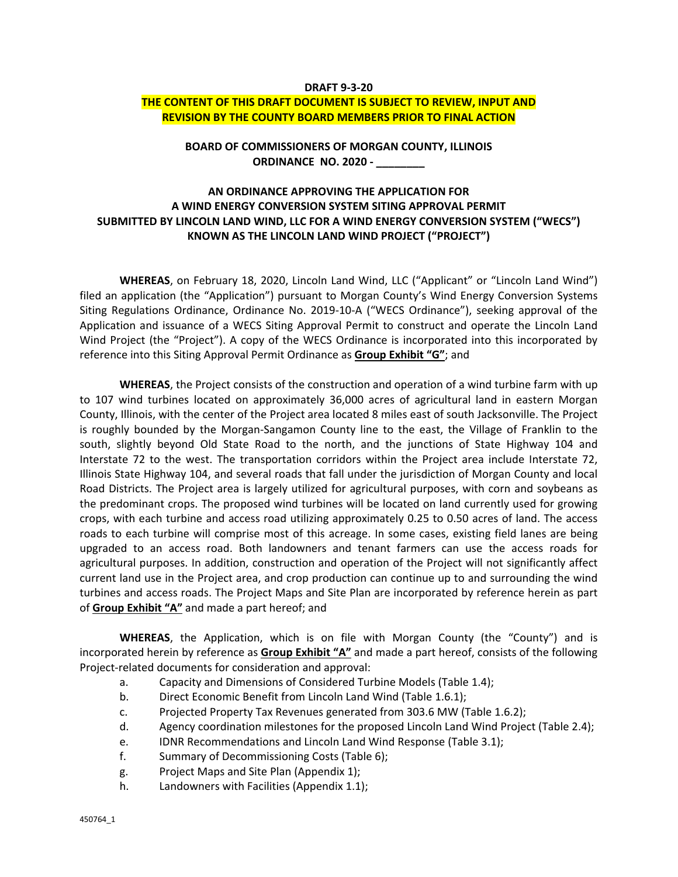#### **DRAFT 9‐3‐20**

#### **THE CONTENT OF THIS DRAFT DOCUMENT IS SUBJECT TO REVIEW, INPUT AND REVISION BY THE COUNTY BOARD MEMBERS PRIOR TO FINAL ACTION**

**BOARD OF COMMISSIONERS OF MORGAN COUNTY, ILLINOIS ORDINANCE NO. 2020 ‐ \_\_\_\_\_\_\_\_** 

# **AN ORDINANCE APPROVING THE APPLICATION FOR A WIND ENERGY CONVERSION SYSTEM SITING APPROVAL PERMIT SUBMITTED BY LINCOLN LAND WIND, LLC FOR A WIND ENERGY CONVERSION SYSTEM ("WECS") KNOWN AS THE LINCOLN LAND WIND PROJECT ("PROJECT")**

**WHEREAS**, on February 18, 2020, Lincoln Land Wind, LLC ("Applicant" or "Lincoln Land Wind") filed an application (the "Application") pursuant to Morgan County's Wind Energy Conversion Systems Siting Regulations Ordinance, Ordinance No. 2019‐10‐A ("WECS Ordinance"), seeking approval of the Application and issuance of a WECS Siting Approval Permit to construct and operate the Lincoln Land Wind Project (the "Project"). A copy of the WECS Ordinance is incorporated into this incorporated by reference into this Siting Approval Permit Ordinance as **Group Exhibit "G"**; and

**WHEREAS**, the Project consists of the construction and operation of a wind turbine farm with up to 107 wind turbines located on approximately 36,000 acres of agricultural land in eastern Morgan County, Illinois, with the center of the Project area located 8 miles east of south Jacksonville. The Project is roughly bounded by the Morgan‐Sangamon County line to the east, the Village of Franklin to the south, slightly beyond Old State Road to the north, and the junctions of State Highway 104 and Interstate 72 to the west. The transportation corridors within the Project area include Interstate 72, Illinois State Highway 104, and several roads that fall under the jurisdiction of Morgan County and local Road Districts. The Project area is largely utilized for agricultural purposes, with corn and soybeans as the predominant crops. The proposed wind turbines will be located on land currently used for growing crops, with each turbine and access road utilizing approximately 0.25 to 0.50 acres of land. The access roads to each turbine will comprise most of this acreage. In some cases, existing field lanes are being upgraded to an access road. Both landowners and tenant farmers can use the access roads for agricultural purposes. In addition, construction and operation of the Project will not significantly affect current land use in the Project area, and crop production can continue up to and surrounding the wind turbines and access roads. The Project Maps and Site Plan are incorporated by reference herein as part of **Group Exhibit "A"** and made a part hereof; and

**WHEREAS**, the Application, which is on file with Morgan County (the "County") and is incorporated herein by reference as **Group Exhibit "A"** and made a part hereof, consists of the following Project‐related documents for consideration and approval:

- a. Capacity and Dimensions of Considered Turbine Models (Table 1.4);
- b. Direct Economic Benefit from Lincoln Land Wind (Table 1.6.1);
- c. Projected Property Tax Revenues generated from 303.6 MW (Table 1.6.2);
- d. Agency coordination milestones for the proposed Lincoln Land Wind Project (Table 2.4);
- e. IDNR Recommendations and Lincoln Land Wind Response (Table 3.1);
- f. Summary of Decommissioning Costs (Table 6);
- g. Project Maps and Site Plan (Appendix 1);
- h. Landowners with Facilities (Appendix 1.1);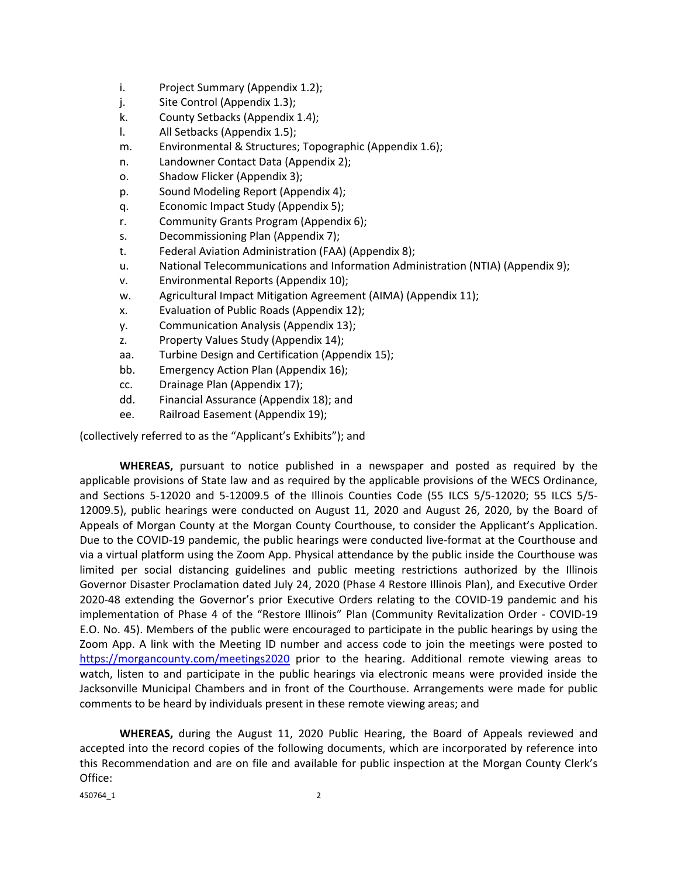- i. Project Summary (Appendix 1.2);
- j. Site Control (Appendix 1.3);
- k. County Setbacks (Appendix 1.4);
- l. All Setbacks (Appendix 1.5);
- m. Environmental & Structures; Topographic (Appendix 1.6);
- n. Landowner Contact Data (Appendix 2);
- o. Shadow Flicker (Appendix 3);
- p. Sound Modeling Report (Appendix 4);
- q. Economic Impact Study (Appendix 5);
- r. Community Grants Program (Appendix 6);
- s. Decommissioning Plan (Appendix 7);
- t. Federal Aviation Administration (FAA) (Appendix 8);
- u. National Telecommunications and Information Administration (NTIA) (Appendix 9);
- v. Environmental Reports (Appendix 10);
- w. Agricultural Impact Mitigation Agreement (AIMA) (Appendix 11);
- x. Evaluation of Public Roads (Appendix 12);
- y. Communication Analysis (Appendix 13);
- z. Property Values Study (Appendix 14);
- aa. Turbine Design and Certification (Appendix 15);
- bb. Emergency Action Plan (Appendix 16);
- cc. Drainage Plan (Appendix 17);
- dd. Financial Assurance (Appendix 18); and
- ee. Railroad Easement (Appendix 19);

(collectively referred to as the "Applicant's Exhibits"); and

**WHEREAS,** pursuant to notice published in a newspaper and posted as required by the applicable provisions of State law and as required by the applicable provisions of the WECS Ordinance, and Sections 5‐12020 and 5‐12009.5 of the Illinois Counties Code (55 ILCS 5/5‐12020; 55 ILCS 5/5‐ 12009.5), public hearings were conducted on August 11, 2020 and August 26, 2020, by the Board of Appeals of Morgan County at the Morgan County Courthouse, to consider the Applicant's Application. Due to the COVID‐19 pandemic, the public hearings were conducted live‐format at the Courthouse and via a virtual platform using the Zoom App. Physical attendance by the public inside the Courthouse was limited per social distancing guidelines and public meeting restrictions authorized by the Illinois Governor Disaster Proclamation dated July 24, 2020 (Phase 4 Restore Illinois Plan), and Executive Order 2020‐48 extending the Governor's prior Executive Orders relating to the COVID‐19 pandemic and his implementation of Phase 4 of the "Restore Illinois" Plan (Community Revitalization Order - COVID-19 E.O. No. 45). Members of the public were encouraged to participate in the public hearings by using the Zoom App. A link with the Meeting ID number and access code to join the meetings were posted to https://morgancounty.com/meetings2020 prior to the hearing. Additional remote viewing areas to watch, listen to and participate in the public hearings via electronic means were provided inside the Jacksonville Municipal Chambers and in front of the Courthouse. Arrangements were made for public comments to be heard by individuals present in these remote viewing areas; and

**WHEREAS,** during the August 11, 2020 Public Hearing, the Board of Appeals reviewed and accepted into the record copies of the following documents, which are incorporated by reference into this Recommendation and are on file and available for public inspection at the Morgan County Clerk's Office:

450764\_1 2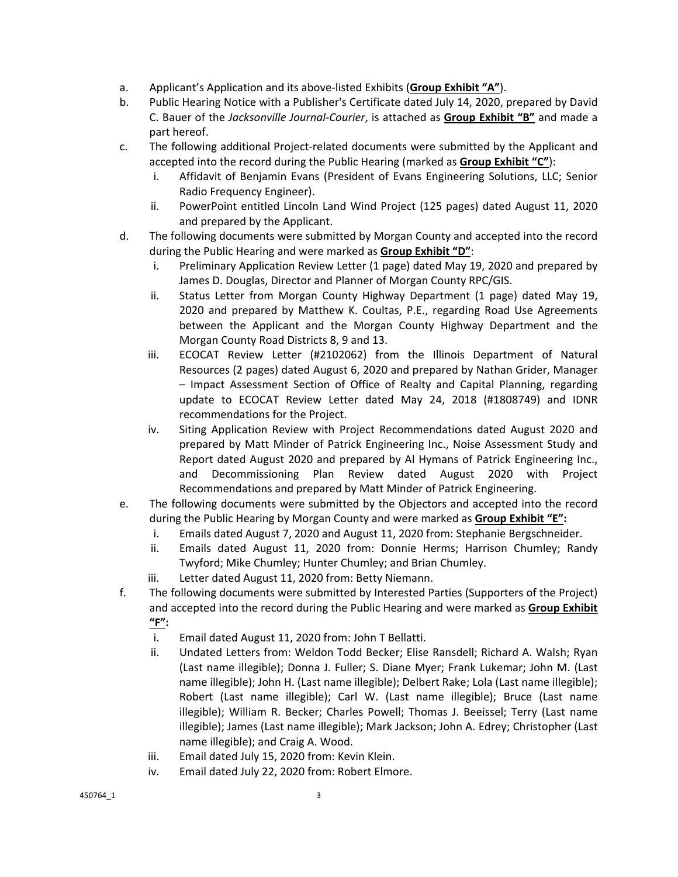- a. Applicant's Application and its above‐listed Exhibits (**Group Exhibit "A"**).
- b. Public Hearing Notice with a Publisher's Certificate dated July 14, 2020, prepared by David C. Bauer of the *Jacksonville Journal‐Courier*, is attached as **Group Exhibit "B"** and made a part hereof.
- c. The following additional Project‐related documents were submitted by the Applicant and accepted into the record during the Public Hearing (marked as **Group Exhibit "C"**):
	- i. Affidavit of Benjamin Evans (President of Evans Engineering Solutions, LLC; Senior Radio Frequency Engineer).
	- ii. PowerPoint entitled Lincoln Land Wind Project (125 pages) dated August 11, 2020 and prepared by the Applicant.
- d. The following documents were submitted by Morgan County and accepted into the record during the Public Hearing and were marked as **Group Exhibit "D"**:
	- i. Preliminary Application Review Letter (1 page) dated May 19, 2020 and prepared by James D. Douglas, Director and Planner of Morgan County RPC/GIS.
	- ii. Status Letter from Morgan County Highway Department (1 page) dated May 19, 2020 and prepared by Matthew K. Coultas, P.E., regarding Road Use Agreements between the Applicant and the Morgan County Highway Department and the Morgan County Road Districts 8, 9 and 13.
	- iii. ECOCAT Review Letter (#2102062) from the Illinois Department of Natural Resources (2 pages) dated August 6, 2020 and prepared by Nathan Grider, Manager – Impact Assessment Section of Office of Realty and Capital Planning, regarding update to ECOCAT Review Letter dated May 24, 2018 (#1808749) and IDNR recommendations for the Project.
	- iv. Siting Application Review with Project Recommendations dated August 2020 and prepared by Matt Minder of Patrick Engineering Inc., Noise Assessment Study and Report dated August 2020 and prepared by Al Hymans of Patrick Engineering Inc., and Decommissioning Plan Review dated August 2020 with Project Recommendations and prepared by Matt Minder of Patrick Engineering.
- e. The following documents were submitted by the Objectors and accepted into the record during the Public Hearing by Morgan County and were marked as **Group Exhibit "E":**
	- i. Emails dated August 7, 2020 and August 11, 2020 from: Stephanie Bergschneider.
	- ii. Emails dated August 11, 2020 from: Donnie Herms; Harrison Chumley; Randy Twyford; Mike Chumley; Hunter Chumley; and Brian Chumley.
	- iii. Letter dated August 11, 2020 from: Betty Niemann.
- f. The following documents were submitted by Interested Parties (Supporters of the Project) and accepted into the record during the Public Hearing and were marked as **Group Exhibit "F":**
	- i. Email dated August 11, 2020 from: John T Bellatti.
	- ii. Undated Letters from: Weldon Todd Becker; Elise Ransdell; Richard A. Walsh; Ryan (Last name illegible); Donna J. Fuller; S. Diane Myer; Frank Lukemar; John M. (Last name illegible); John H. (Last name illegible); Delbert Rake; Lola (Last name illegible); Robert (Last name illegible); Carl W. (Last name illegible); Bruce (Last name illegible); William R. Becker; Charles Powell; Thomas J. Beeissel; Terry (Last name illegible); James (Last name illegible); Mark Jackson; John A. Edrey; Christopher (Last name illegible); and Craig A. Wood.
	- iii. Email dated July 15, 2020 from: Kevin Klein.
	- iv. Email dated July 22, 2020 from: Robert Elmore.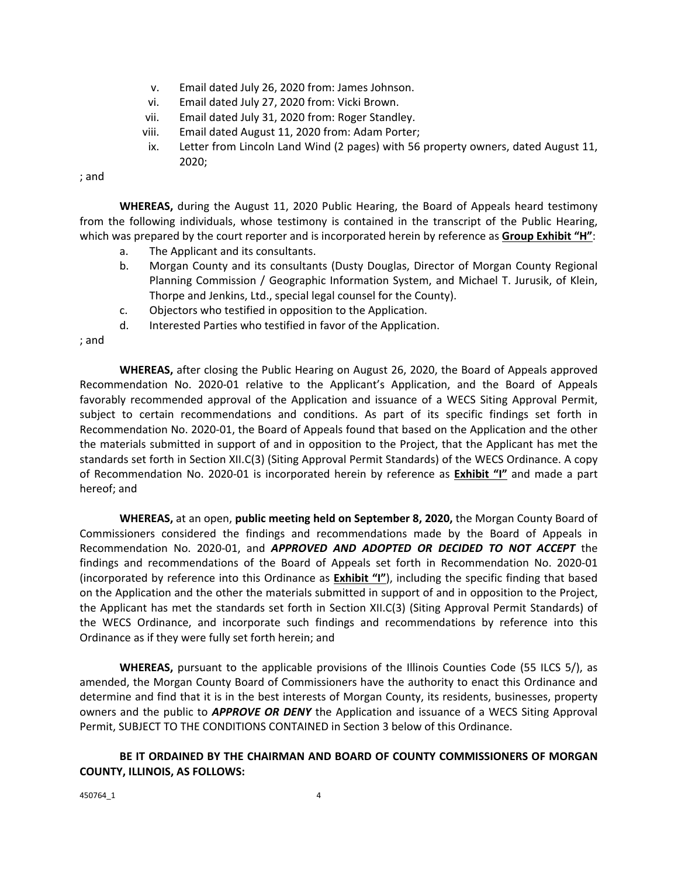- v. Email dated July 26, 2020 from: James Johnson.
- vi. Email dated July 27, 2020 from: Vicki Brown.
- vii. Email dated July 31, 2020 from: Roger Standley.
- viii. Email dated August 11, 2020 from: Adam Porter;
- ix. Letter from Lincoln Land Wind (2 pages) with 56 property owners, dated August 11, 2020;

; and

**WHEREAS,** during the August 11, 2020 Public Hearing, the Board of Appeals heard testimony from the following individuals, whose testimony is contained in the transcript of the Public Hearing, which was prepared by the court reporter and is incorporated herein by reference as **Group Exhibit "H"**:

- a. The Applicant and its consultants.
- b. Morgan County and its consultants (Dusty Douglas, Director of Morgan County Regional Planning Commission / Geographic Information System, and Michael T. Jurusik, of Klein, Thorpe and Jenkins, Ltd., special legal counsel for the County).
- c. Objectors who testified in opposition to the Application.
- d. Interested Parties who testified in favor of the Application.

; and

 **WHEREAS,** after closing the Public Hearing on August 26, 2020, the Board of Appeals approved Recommendation No. 2020‐01 relative to the Applicant's Application, and the Board of Appeals favorably recommended approval of the Application and issuance of a WECS Siting Approval Permit, subject to certain recommendations and conditions. As part of its specific findings set forth in Recommendation No. 2020‐01, the Board of Appeals found that based on the Application and the other the materials submitted in support of and in opposition to the Project, that the Applicant has met the standards set forth in Section XII.C(3) (Siting Approval Permit Standards) of the WECS Ordinance. A copy of Recommendation No. 2020‐01 is incorporated herein by reference as **Exhibit "I"** and made a part hereof; and

 **WHEREAS,** at an open, **public meeting held on September 8, 2020,** the Morgan County Board of Commissioners considered the findings and recommendations made by the Board of Appeals in Recommendation No. 2020‐01, and *APPROVED AND ADOPTED OR DECIDED TO NOT ACCEPT* the findings and recommendations of the Board of Appeals set forth in Recommendation No. 2020-01 (incorporated by reference into this Ordinance as **Exhibit "I"**), including the specific finding that based on the Application and the other the materials submitted in support of and in opposition to the Project, the Applicant has met the standards set forth in Section XII.C(3) (Siting Approval Permit Standards) of the WECS Ordinance, and incorporate such findings and recommendations by reference into this Ordinance as if they were fully set forth herein; and

**WHEREAS,** pursuant to the applicable provisions of the Illinois Counties Code (55 ILCS 5/), as amended, the Morgan County Board of Commissioners have the authority to enact this Ordinance and determine and find that it is in the best interests of Morgan County, its residents, businesses, property owners and the public to *APPROVE OR DENY* the Application and issuance of a WECS Siting Approval Permit, SUBJECT TO THE CONDITIONS CONTAINED in Section 3 below of this Ordinance.

### **BE IT ORDAINED BY THE CHAIRMAN AND BOARD OF COUNTY COMMISSIONERS OF MORGAN COUNTY, ILLINOIS, AS FOLLOWS:**

450764\_1 4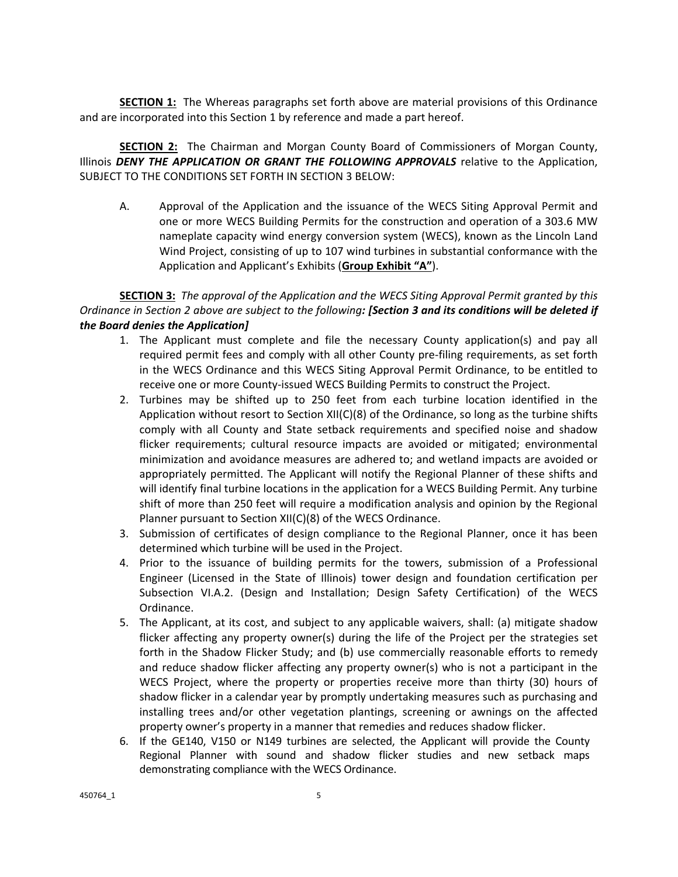**SECTION 1:** The Whereas paragraphs set forth above are material provisions of this Ordinance and are incorporated into this Section 1 by reference and made a part hereof.

**SECTION 2:** The Chairman and Morgan County Board of Commissioners of Morgan County, Illinois *DENY THE APPLICATION OR GRANT THE FOLLOWING APPROVALS* relative to the Application, SUBJECT TO THE CONDITIONS SET FORTH IN SECTION 3 BELOW:

A. Approval of the Application and the issuance of the WECS Siting Approval Permit and one or more WECS Building Permits for the construction and operation of a 303.6 MW nameplate capacity wind energy conversion system (WECS), known as the Lincoln Land Wind Project, consisting of up to 107 wind turbines in substantial conformance with the Application and Applicant's Exhibits (**Group Exhibit "A"**).

**SECTION 3:** *The approval of the Application and the WECS Siting Approval Permit granted by this Ordinance in Section 2 above are subject to the following: [Section 3 and its conditions will be deleted if the Board denies the Application]*

- 1. The Applicant must complete and file the necessary County application(s) and pay all required permit fees and comply with all other County pre‐filing requirements, as set forth in the WECS Ordinance and this WECS Siting Approval Permit Ordinance, to be entitled to receive one or more County‐issued WECS Building Permits to construct the Project.
- 2. Turbines may be shifted up to 250 feet from each turbine location identified in the Application without resort to Section XII(C)(8) of the Ordinance, so long as the turbine shifts comply with all County and State setback requirements and specified noise and shadow flicker requirements; cultural resource impacts are avoided or mitigated; environmental minimization and avoidance measures are adhered to; and wetland impacts are avoided or appropriately permitted. The Applicant will notify the Regional Planner of these shifts and will identify final turbine locations in the application for a WECS Building Permit. Any turbine shift of more than 250 feet will require a modification analysis and opinion by the Regional Planner pursuant to Section XII(C)(8) of the WECS Ordinance.
- 3. Submission of certificates of design compliance to the Regional Planner, once it has been determined which turbine will be used in the Project.
- 4. Prior to the issuance of building permits for the towers, submission of a Professional Engineer (Licensed in the State of Illinois) tower design and foundation certification per Subsection VI.A.2. (Design and Installation; Design Safety Certification) of the WECS Ordinance.
- 5. The Applicant, at its cost, and subject to any applicable waivers, shall: (a) mitigate shadow flicker affecting any property owner(s) during the life of the Project per the strategies set forth in the Shadow Flicker Study; and (b) use commercially reasonable efforts to remedy and reduce shadow flicker affecting any property owner(s) who is not a participant in the WECS Project, where the property or properties receive more than thirty (30) hours of shadow flicker in a calendar year by promptly undertaking measures such as purchasing and installing trees and/or other vegetation plantings, screening or awnings on the affected property owner's property in a manner that remedies and reduces shadow flicker.
- 6. If the GE140, V150 or N149 turbines are selected, the Applicant will provide the County Regional Planner with sound and shadow flicker studies and new setback maps demonstrating compliance with the WECS Ordinance.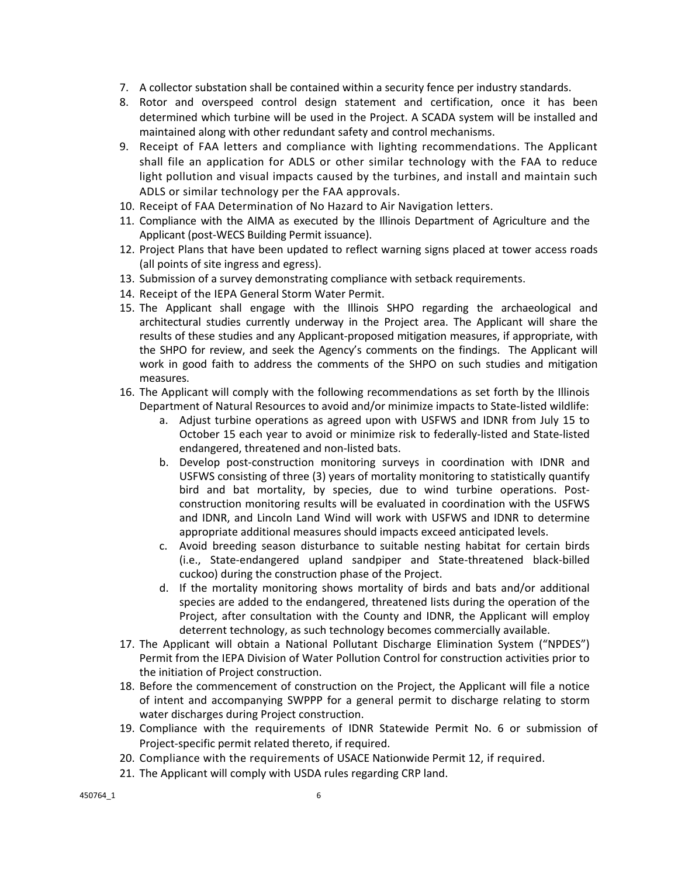- 7. A collector substation shall be contained within a security fence per industry standards.
- 8. Rotor and overspeed control design statement and certification, once it has been determined which turbine will be used in the Project. A SCADA system will be installed and maintained along with other redundant safety and control mechanisms.
- 9. Receipt of FAA letters and compliance with lighting recommendations. The Applicant shall file an application for ADLS or other similar technology with the FAA to reduce light pollution and visual impacts caused by the turbines, and install and maintain such ADLS or similar technology per the FAA approvals.
- 10. Receipt of FAA Determination of No Hazard to Air Navigation letters.
- 11. Compliance with the AIMA as executed by the Illinois Department of Agriculture and the Applicant (post‐WECS Building Permit issuance).
- 12. Project Plans that have been updated to reflect warning signs placed at tower access roads (all points of site ingress and egress).
- 13. Submission of a survey demonstrating compliance with setback requirements.
- 14. Receipt of the IEPA General Storm Water Permit.
- 15. The Applicant shall engage with the Illinois SHPO regarding the archaeological and architectural studies currently underway in the Project area. The Applicant will share the results of these studies and any Applicant‐proposed mitigation measures, if appropriate, with the SHPO for review, and seek the Agency's comments on the findings. The Applicant will work in good faith to address the comments of the SHPO on such studies and mitigation measures.
- 16. The Applicant will comply with the following recommendations as set forth by the Illinois Department of Natural Resources to avoid and/or minimize impacts to State-listed wildlife:
	- a. Adjust turbine operations as agreed upon with USFWS and IDNR from July 15 to October 15 each year to avoid or minimize risk to federally‐listed and State‐listed endangered, threatened and non‐listed bats.
	- b. Develop post-construction monitoring surveys in coordination with IDNR and USFWS consisting of three (3) years of mortality monitoring to statistically quantify bird and bat mortality, by species, due to wind turbine operations. Postconstruction monitoring results will be evaluated in coordination with the USFWS and IDNR, and Lincoln Land Wind will work with USFWS and IDNR to determine appropriate additional measures should impacts exceed anticipated levels.
	- c. Avoid breeding season disturbance to suitable nesting habitat for certain birds (i.e., State‐endangered upland sandpiper and State‐threatened black‐billed cuckoo) during the construction phase of the Project.
	- d. If the mortality monitoring shows mortality of birds and bats and/or additional species are added to the endangered, threatened lists during the operation of the Project, after consultation with the County and IDNR, the Applicant will employ deterrent technology, as such technology becomes commercially available.
- 17. The Applicant will obtain a National Pollutant Discharge Elimination System ("NPDES") Permit from the IEPA Division of Water Pollution Control for construction activities prior to the initiation of Project construction.
- 18. Before the commencement of construction on the Project, the Applicant will file a notice of intent and accompanying SWPPP for a general permit to discharge relating to storm water discharges during Project construction.
- 19. Compliance with the requirements of IDNR Statewide Permit No. 6 or submission of Project‐specific permit related thereto, if required.
- 20. Compliance with the requirements of USACE Nationwide Permit 12, if required.
- 21. The Applicant will comply with USDA rules regarding CRP land.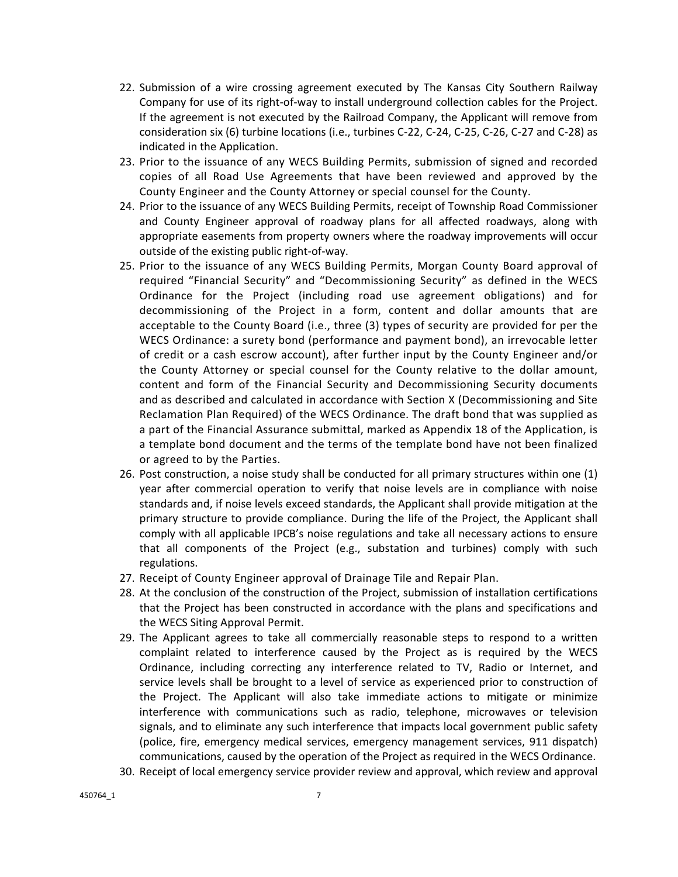- 22. Submission of a wire crossing agreement executed by The Kansas City Southern Railway Company for use of its right‐of‐way to install underground collection cables for the Project. If the agreement is not executed by the Railroad Company, the Applicant will remove from consideration six (6) turbine locations (i.e., turbines C‐22, C‐24, C‐25, C‐26, C‐27 and C‐28) as indicated in the Application.
- 23. Prior to the issuance of any WECS Building Permits, submission of signed and recorded copies of all Road Use Agreements that have been reviewed and approved by the County Engineer and the County Attorney or special counsel for the County.
- 24. Prior to the issuance of any WECS Building Permits, receipt of Township Road Commissioner and County Engineer approval of roadway plans for all affected roadways, along with appropriate easements from property owners where the roadway improvements will occur outside of the existing public right‐of‐way.
- 25. Prior to the issuance of any WECS Building Permits, Morgan County Board approval of required "Financial Security" and "Decommissioning Security" as defined in the WECS Ordinance for the Project (including road use agreement obligations) and for decommissioning of the Project in a form, content and dollar amounts that are acceptable to the County Board (i.e., three (3) types of security are provided for per the WECS Ordinance: a surety bond (performance and payment bond), an irrevocable letter of credit or a cash escrow account), after further input by the County Engineer and/or the County Attorney or special counsel for the County relative to the dollar amount, content and form of the Financial Security and Decommissioning Security documents and as described and calculated in accordance with Section X (Decommissioning and Site Reclamation Plan Required) of the WECS Ordinance. The draft bond that was supplied as a part of the Financial Assurance submittal, marked as Appendix 18 of the Application, is a template bond document and the terms of the template bond have not been finalized or agreed to by the Parties.
- 26. Post construction, a noise study shall be conducted for all primary structures within one (1) year after commercial operation to verify that noise levels are in compliance with noise standards and, if noise levels exceed standards, the Applicant shall provide mitigation at the primary structure to provide compliance. During the life of the Project, the Applicant shall comply with all applicable IPCB's noise regulations and take all necessary actions to ensure that all components of the Project (e.g., substation and turbines) comply with such regulations.
- 27. Receipt of County Engineer approval of Drainage Tile and Repair Plan.
- 28. At the conclusion of the construction of the Project, submission of installation certifications that the Project has been constructed in accordance with the plans and specifications and the WECS Siting Approval Permit.
- 29. The Applicant agrees to take all commercially reasonable steps to respond to a written complaint related to interference caused by the Project as is required by the WECS Ordinance, including correcting any interference related to TV, Radio or Internet, and service levels shall be brought to a level of service as experienced prior to construction of the Project. The Applicant will also take immediate actions to mitigate or minimize interference with communications such as radio, telephone, microwaves or television signals, and to eliminate any such interference that impacts local government public safety (police, fire, emergency medical services, emergency management services, 911 dispatch) communications, caused by the operation of the Project as required in the WECS Ordinance.
- 30. Receipt of local emergency service provider review and approval, which review and approval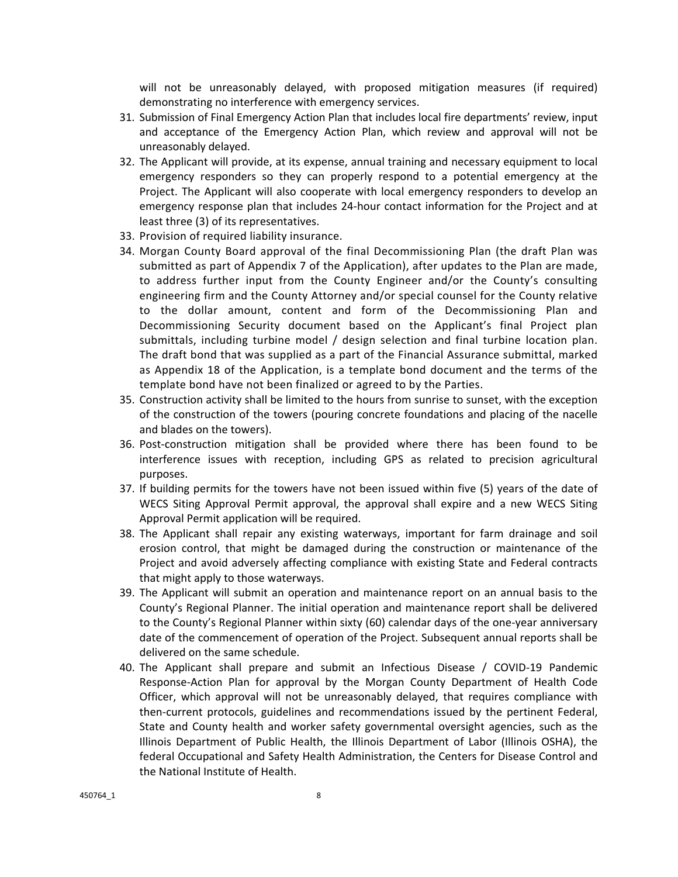will not be unreasonably delayed, with proposed mitigation measures (if required) demonstrating no interference with emergency services.

- 31. Submission of Final Emergency Action Plan that includes local fire departments' review, input and acceptance of the Emergency Action Plan, which review and approval will not be unreasonably delayed.
- 32. The Applicant will provide, at its expense, annual training and necessary equipment to local emergency responders so they can properly respond to a potential emergency at the Project. The Applicant will also cooperate with local emergency responders to develop an emergency response plan that includes 24-hour contact information for the Project and at least three (3) of its representatives.
- 33. Provision of required liability insurance.
- 34. Morgan County Board approval of the final Decommissioning Plan (the draft Plan was submitted as part of Appendix 7 of the Application), after updates to the Plan are made, to address further input from the County Engineer and/or the County's consulting engineering firm and the County Attorney and/or special counsel for the County relative to the dollar amount, content and form of the Decommissioning Plan and Decommissioning Security document based on the Applicant's final Project plan submittals, including turbine model / design selection and final turbine location plan. The draft bond that was supplied as a part of the Financial Assurance submittal, marked as Appendix 18 of the Application, is a template bond document and the terms of the template bond have not been finalized or agreed to by the Parties.
- 35. Construction activity shall be limited to the hours from sunrise to sunset, with the exception of the construction of the towers (pouring concrete foundations and placing of the nacelle and blades on the towers).
- 36. Post‐construction mitigation shall be provided where there has been found to be interference issues with reception, including GPS as related to precision agricultural purposes.
- 37. If building permits for the towers have not been issued within five (5) years of the date of WECS Siting Approval Permit approval, the approval shall expire and a new WECS Siting Approval Permit application will be required.
- 38. The Applicant shall repair any existing waterways, important for farm drainage and soil erosion control, that might be damaged during the construction or maintenance of the Project and avoid adversely affecting compliance with existing State and Federal contracts that might apply to those waterways.
- 39. The Applicant will submit an operation and maintenance report on an annual basis to the County's Regional Planner. The initial operation and maintenance report shall be delivered to the County's Regional Planner within sixty (60) calendar days of the one‐year anniversary date of the commencement of operation of the Project. Subsequent annual reports shall be delivered on the same schedule.
- 40. The Applicant shall prepare and submit an Infectious Disease / COVID-19 Pandemic Response‐Action Plan for approval by the Morgan County Department of Health Code Officer, which approval will not be unreasonably delayed, that requires compliance with then-current protocols, guidelines and recommendations issued by the pertinent Federal, State and County health and worker safety governmental oversight agencies, such as the Illinois Department of Public Health, the Illinois Department of Labor (Illinois OSHA), the federal Occupational and Safety Health Administration, the Centers for Disease Control and the National Institute of Health.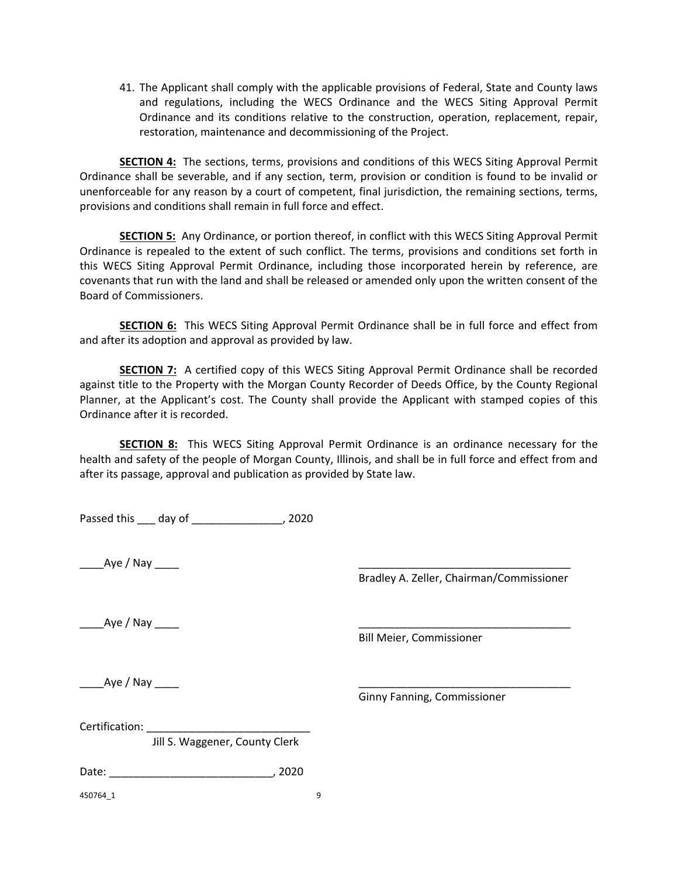41. The Applicant shall comply with the applicable provisions of Federal, State and County laws and regulations, including the WECS Ordinance and the WECS Siting Approval Permit Ordinance and its conditions relative to the construction, operation, replacement, repair, restoration, maintenance and decommissioning of the Project.

**SECTION 4:** The sections, terms, provisions and conditions of this WECS Siting Approval Permit Ordinance shall be severable, and if any section, term, provision or condition is found to be invalid or unenforceable for any reason by a court of competent, final jurisdiction, the remaining sections, terms, provisions and conditions shall remain in full force and effect.

**SECTION 5:** Any Ordinance, or portion thereof, in conflict with this WECS Siting Approval Permit Ordinance is repealed to the extent of such conflict. The terms, provisions and conditions set forth in this WECS Siting Approval Permit Ordinance, including those incorporated herein by reference, are covenants that run with the land and shall be released or amended only upon the written consent of the Board of Commissioners.

**SECTION 6:** This WECS Siting Approval Permit Ordinance shall be in full force and effect from and after its adoption and approval as provided by law.

**SECTION 7:** A certified copy of this WECS Siting Approval Permit Ordinance shall be recorded against title to the Property with the Morgan County Recorder of Deeds Office, by the County Regional Planner, at the Applicant's cost. The County shall provide the Applicant with stamped copies of this Ordinance after it is recorded.

**SECTION 8:** This WECS Siting Approval Permit Ordinance is an ordinance necessary for the health and safety of the people of Morgan County, Illinois, and shall be in full force and effect from and after its passage, approval and publication as provided by State law.

Passed this \_\_\_ day of \_\_\_\_\_\_\_\_\_\_\_\_\_\_, 2020

\_\_\_\_Aye / Nay \_\_\_\_ \_\_\_\_\_\_\_\_\_\_\_\_\_\_\_\_\_\_\_\_\_\_\_\_\_\_\_\_\_\_\_\_\_\_\_

Bradley A. Zeller, Chairman/Commissioner

Aye / Nay

Bill Meier, Commissioner

 $\Delta$ ye / Nay  $\_\_\_\_\_\_\_\_\_\_\_\_\_\_\_\_\_\_\_\_$ 

Ginny Fanning, Commissioner

Certification:

Jill S. Waggener, County Clerk

Date: \_\_\_\_\_\_\_\_\_\_\_\_\_\_\_\_\_\_\_\_\_\_\_\_\_\_\_, 2020

450764 1 9